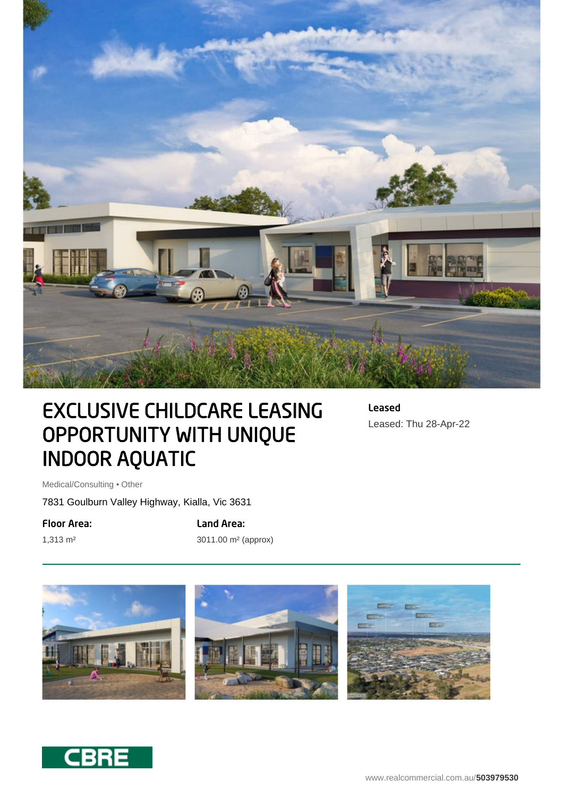

# EXCLUSIVE CHILDCARE LEASING OPPORTUNITY WITH UNIQUE INDOOR AQUATIC

Leased Leased: Thu 28-Apr-22

Medical/Consulting • Other

7831 Goulburn Valley Highway, Kialla, Vic 3631

Floor Area:

1,313 m²

Land Area: 3011.00 m² (approx)